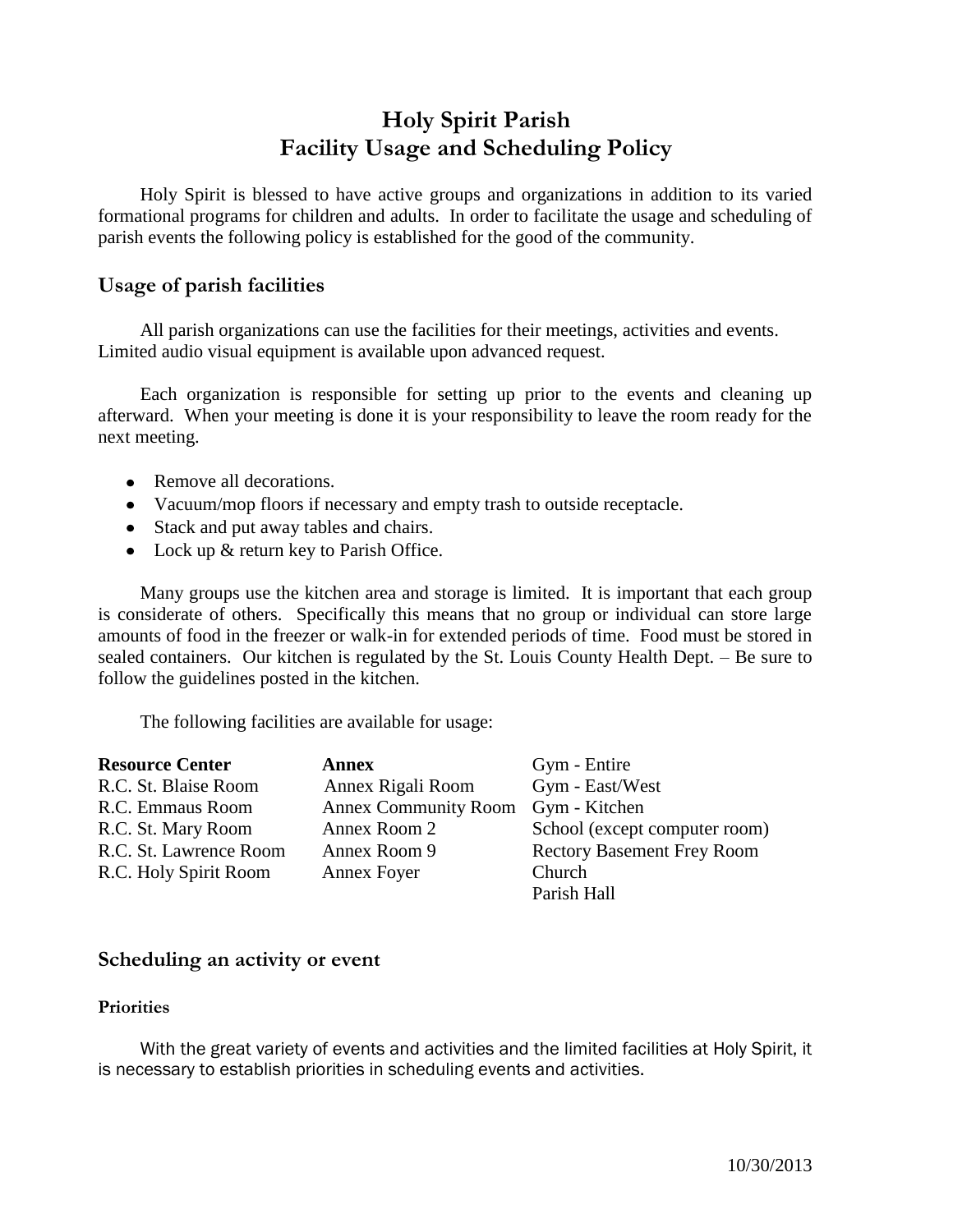## **Holy Spirit Parish Facility Usage and Scheduling Policy**

Holy Spirit is blessed to have active groups and organizations in addition to its varied formational programs for children and adults. In order to facilitate the usage and scheduling of parish events the following policy is established for the good of the community.

### **Usage of parish facilities**

All parish organizations can use the facilities for their meetings, activities and events. Limited audio visual equipment is available upon advanced request.

Each organization is responsible for setting up prior to the events and cleaning up afterward. When your meeting is done it is your responsibility to leave the room ready for the next meeting.

- Remove all decorations.
- Vacuum/mop floors if necessary and empty trash to outside receptacle.
- Stack and put away tables and chairs.
- Lock up & return key to Parish Office.

Many groups use the kitchen area and storage is limited. It is important that each group is considerate of others. Specifically this means that no group or individual can store large amounts of food in the freezer or walk-in for extended periods of time. Food must be stored in sealed containers. Our kitchen is regulated by the St. Louis County Health Dept. – Be sure to follow the guidelines posted in the kitchen.

The following facilities are available for usage:

| <b>Resource Center</b> | <b>Annex</b>                       | Gym - Entire                      |
|------------------------|------------------------------------|-----------------------------------|
| R.C. St. Blaise Room   | Annex Rigali Room                  | Gym - East/West                   |
| R.C. Emmaus Room       | Annex Community Room Gym - Kitchen |                                   |
| R.C. St. Mary Room     | Annex Room 2                       | School (except computer room)     |
| R.C. St. Lawrence Room | Annex Room 9                       | <b>Rectory Basement Frey Room</b> |
| R.C. Holy Spirit Room  | Annex Foyer                        | Church                            |
|                        |                                    | Parish Hall                       |

### **Scheduling an activity or event**

#### **Priorities**

With the great variety of events and activities and the limited facilities at Holy Spirit, it is necessary to establish priorities in scheduling events and activities.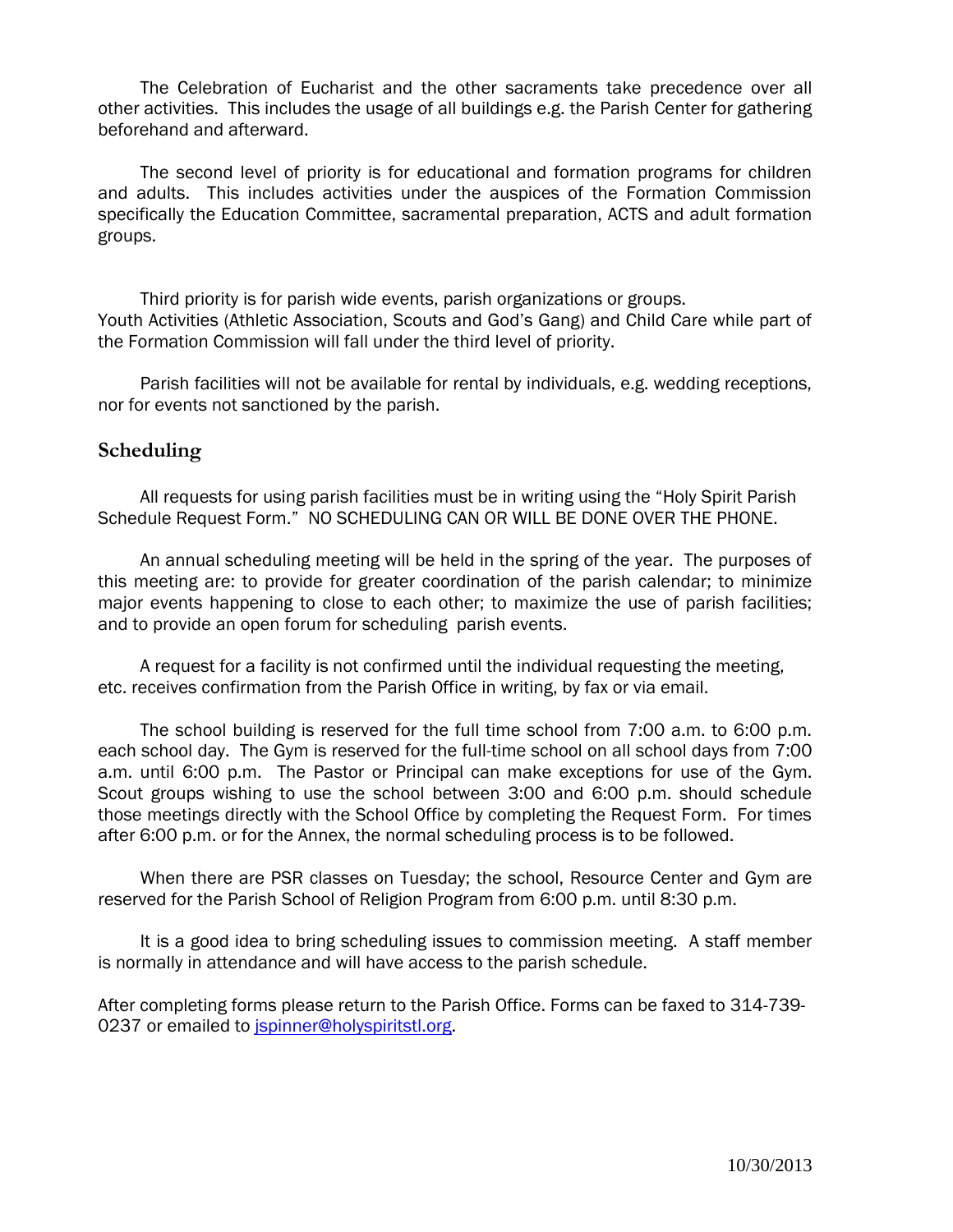The Celebration of Eucharist and the other sacraments take precedence over all other activities. This includes the usage of all buildings e.g. the Parish Center for gathering beforehand and afterward.

The second level of priority is for educational and formation programs for children and adults. This includes activities under the auspices of the Formation Commission specifically the Education Committee, sacramental preparation, ACTS and adult formation groups.

Third priority is for parish wide events, parish organizations or groups. Youth Activities (Athletic Association, Scouts and God's Gang) and Child Care while part of the Formation Commission will fall under the third level of priority.

Parish facilities will not be available for rental by individuals, e.g. wedding receptions, nor for events not sanctioned by the parish.

#### **Scheduling**

All requests for using parish facilities must be in writing using the "Holy Spirit Parish Schedule Request Form." NO SCHEDULING CAN OR WILL BE DONE OVER THE PHONE.

An annual scheduling meeting will be held in the spring of the year. The purposes of this meeting are: to provide for greater coordination of the parish calendar; to minimize major events happening to close to each other; to maximize the use of parish facilities; and to provide an open forum for scheduling parish events.

A request for a facility is not confirmed until the individual requesting the meeting, etc. receives confirmation from the Parish Office in writing, by fax or via email.

The school building is reserved for the full time school from 7:00 a.m. to 6:00 p.m. each school day. The Gym is reserved for the full-time school on all school days from 7:00 a.m. until 6:00 p.m. The Pastor or Principal can make exceptions for use of the Gym. Scout groups wishing to use the school between 3:00 and 6:00 p.m. should schedule those meetings directly with the School Office by completing the Request Form. For times after 6:00 p.m. or for the Annex, the normal scheduling process is to be followed.

When there are PSR classes on Tuesday; the school, Resource Center and Gym are reserved for the Parish School of Religion Program from 6:00 p.m. until 8:30 p.m.

It is a good idea to bring scheduling issues to commission meeting. A staff member is normally in attendance and will have access to the parish schedule.

After completing forms please return to the Parish Office. Forms can be faxed to 314-739 0237 or emailed to [jspinner@holyspiritstl.org.](mailto:jspinner@holyspiritstl.org)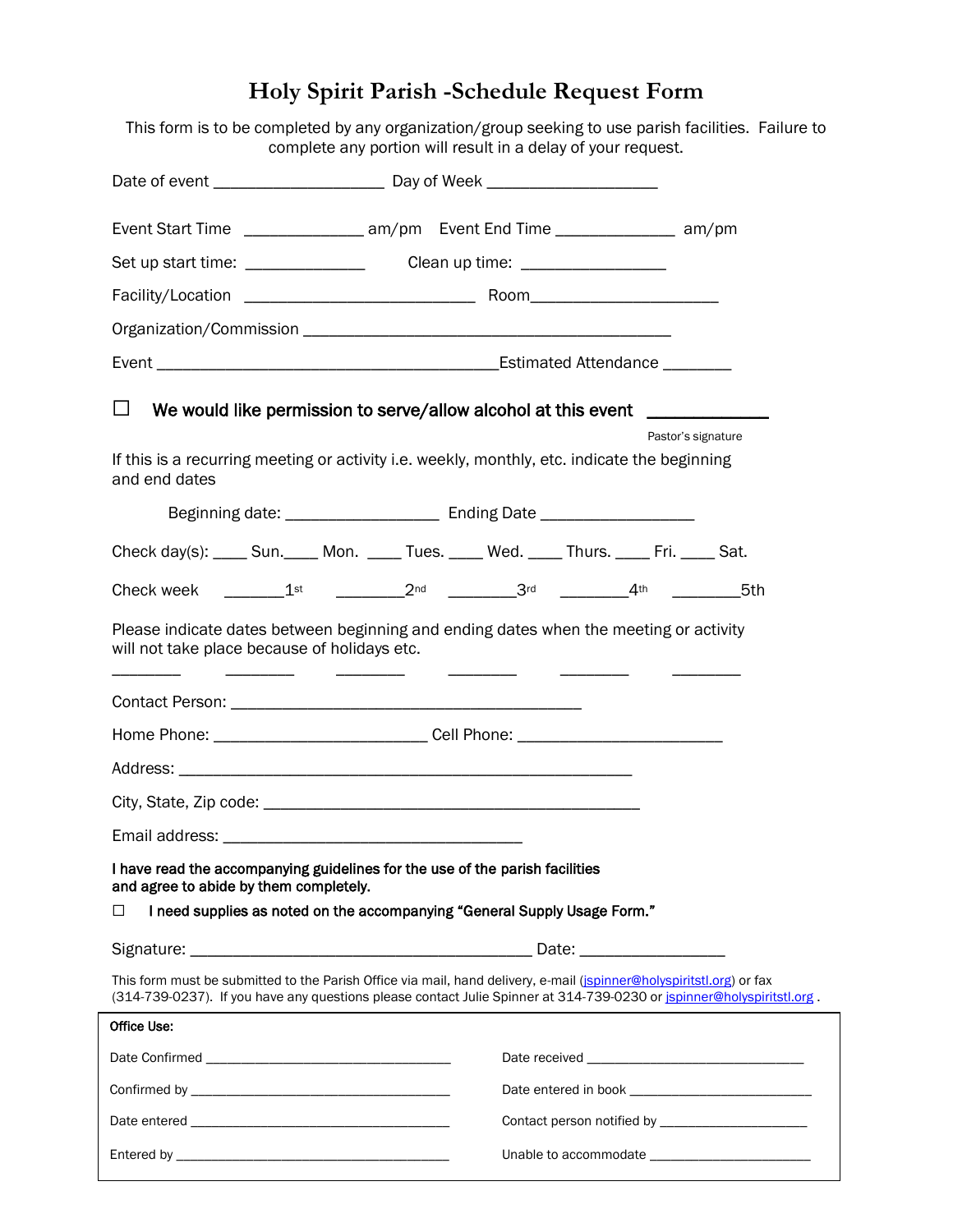# **Holy Spirit Parish -Schedule Request Form**

This form is to be completed by any organization/group seeking to use parish facilities. Failure to complete any portion will result in a delay of your request.

| Event Start Time _________________ am/pm Event End Time _______________ am/pm                                                                                                                                                                |  |  |  |                    |
|----------------------------------------------------------------------------------------------------------------------------------------------------------------------------------------------------------------------------------------------|--|--|--|--------------------|
| Set up start time: __________________________Clean up time: ____________________                                                                                                                                                             |  |  |  |                    |
|                                                                                                                                                                                                                                              |  |  |  |                    |
|                                                                                                                                                                                                                                              |  |  |  |                    |
|                                                                                                                                                                                                                                              |  |  |  |                    |
| $\Box$<br>We would like permission to serve/allow alcohol at this event __________________                                                                                                                                                   |  |  |  |                    |
|                                                                                                                                                                                                                                              |  |  |  | Pastor's signature |
| If this is a recurring meeting or activity i.e. weekly, monthly, etc. indicate the beginning<br>and end dates                                                                                                                                |  |  |  |                    |
|                                                                                                                                                                                                                                              |  |  |  |                    |
| Check day(s): ____ Sun. ____ Mon. ____ Tues. ____ Wed. ____ Thurs. ____ Fri. ____ Sat.                                                                                                                                                       |  |  |  |                    |
| Check week _________1 <sup>st</sup> ___________2 <sup>nd</sup> __________3 <sup>rd</sup> ___________4 <sup>th</sup> __________5th                                                                                                            |  |  |  |                    |
| Please indicate dates between beginning and ending dates when the meeting or activity<br>will not take place because of holidays etc.                                                                                                        |  |  |  |                    |
|                                                                                                                                                                                                                                              |  |  |  |                    |
| Home Phone: _________________________________Cell Phone: _______________________                                                                                                                                                             |  |  |  |                    |
|                                                                                                                                                                                                                                              |  |  |  |                    |
|                                                                                                                                                                                                                                              |  |  |  |                    |
|                                                                                                                                                                                                                                              |  |  |  |                    |
| I have read the accompanying guidelines for the use of the parish facilities<br>and agree to abide by them completely.                                                                                                                       |  |  |  |                    |
| I need supplies as noted on the accompanying "General Supply Usage Form."<br>□                                                                                                                                                               |  |  |  |                    |
|                                                                                                                                                                                                                                              |  |  |  |                    |
| This form must be submitted to the Parish Office via mail, hand delivery, e-mail (ispinner@holyspiritstl.org) or fax<br>(314-739-0237). If you have any questions please contact Julie Spinner at 314-739-0230 or ispinner@holyspiritstl.org |  |  |  |                    |
| Office Use:                                                                                                                                                                                                                                  |  |  |  |                    |
|                                                                                                                                                                                                                                              |  |  |  |                    |
|                                                                                                                                                                                                                                              |  |  |  |                    |
|                                                                                                                                                                                                                                              |  |  |  |                    |
|                                                                                                                                                                                                                                              |  |  |  |                    |